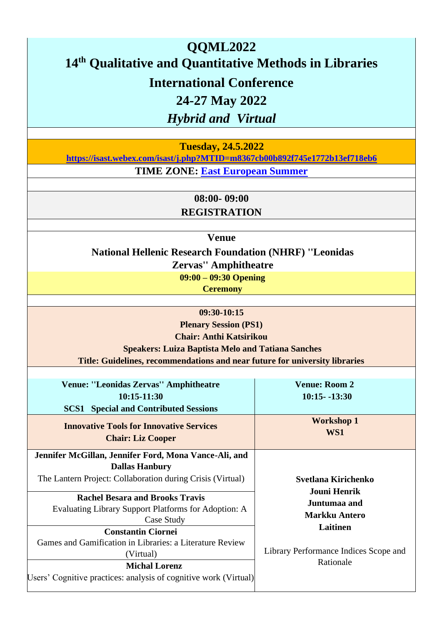# **QQML2022 14th Qualitative and Quantitative Methods in Libraries International Conference 24-27 May 2022**

*Hybrid and Virtual*

**Tuesday, 24.5.2022** 

**<https://isast.webex.com/isast/j.php?MTID=m8367cb00b892f745e1772b13ef718eb6>**

**TIME ZONE: [East European Summer](https://www.timeanddate.com/time/zones/cest)**

**08:00- 09:00** 

**REGISTRATION** 

**Venue** 

**National Hellenic Research Foundation (NHRF) ''Leonidas Zervas'' Amphitheatre** 

**09:00 – 09:30 Opening Ceremony**

**09:30-10:15** 

**Plenary Session (PS1) Chair: Anthi Katsirikou Speakers: Luiza Baptista Melo and Tatiana Sanches** 

**Title: Guidelines, recommendations and near future for university librarie[s](http://qqml.org/wp-content/uploads/2017/09/Veimann.pptx)**

| <b>Venue: "Leonidas Zervas" Amphitheatre</b>                     | <b>Venue: Room 2</b>                  |
|------------------------------------------------------------------|---------------------------------------|
| 10:15-11:30                                                      | $10:15 - 13:30$                       |
| <b>Special and Contributed Sessions</b><br>SCS1                  |                                       |
| <b>Innovative Tools for Innovative Services</b>                  | <b>Workshop 1</b>                     |
| <b>Chair: Liz Cooper</b>                                         | WS1                                   |
| Jennifer McGillan, Jennifer Ford, Mona Vance-Ali, and            |                                       |
| <b>Dallas Hanbury</b>                                            |                                       |
| The Lantern Project: Collaboration during Crisis (Virtual)       | Svetlana Kirichenko                   |
|                                                                  | <b>Jouni Henrik</b>                   |
| <b>Rachel Besara and Brooks Travis</b>                           | Juntumaa and                          |
| Evaluating Library Support Platforms for Adoption: A             | <b>Markku Antero</b>                  |
| Case Study                                                       | Laitinen                              |
| <b>Constantin Ciornei</b>                                        |                                       |
| Games and Gamification in Libraries: a Literature Review         |                                       |
| (Virtual)                                                        | Library Performance Indices Scope and |
| <b>Michal Lorenz</b>                                             | Rationale                             |
| Users' Cognitive practices: analysis of cognitive work (Virtual) |                                       |
|                                                                  |                                       |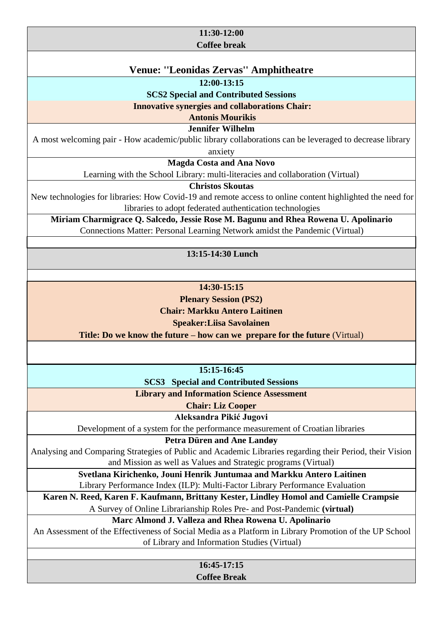#### **11:30-12:00 Coffee break**

# **Venue: ''Leonidas Zervas'' Amphitheatre**

**12:00-13:15** 

**SCS2 Special and Contributed Sessions**

**Innovative synergies and collaborations Chair:** 

**Antonis Mourikis** 

**Jennifer Wilhelm**

A most welcoming pair - How academic/public library collaborations can be leveraged to decrease library anxiety

**Magda Costa and Ana Novo** 

Learning with the School Library: multi-literacies and collaboration (Virtual)

**Christos Skoutas** 

New technologies for libraries: How Covid-19 and remote access to online content highlighted the need for libraries to adopt federated authentication technologies

**Miriam Charmigrace Q. Salcedo, Jessie Rose M. Bagunu and Rhea Rowena U. Apolinario**  Connections Matter: Personal Learning Network amidst the Pandemic (Virtual)

**13:15-14:30 Lunch**

**14:30-15:15** 

**Plenary Session (PS2)** 

**Chair: Markku Antero Laitinen** 

**Speaker:Liisa Savolainen** 

**Title: Do we know the future – how can we prepare for the future** (Virtual)

**15:15-16:45** 

**SCS3 Special and Contributed Sessions**

**Library and Information Science Assessment** 

**Chair: Liz Cooper**

**Aleksandra Pikić Jugovi** 

Development of a system for the performance measurement of Croatian libraries

#### **Petra Düren and Ane Landøy**

Analysing and Comparing Strategies of Public and Academic Libraries regarding their Period, their Vision and Mission as well as Values and Strategic programs (Virtual)

> **Svetlana Kirichenko, Jouni Henrik Juntumaa and Markku Antero Laitinen** Library Performance Index (ILP): Multi-Factor Library Performance Evaluation

**Karen N. Reed, Karen F. Kaufmann, Brittany Kester, Lindley Homol and Camielle Crampsie**  A Survey of Online Librarianship Roles Pre- and Post-Pandemic **(virtual)**

**Marc Almond J. Valleza and Rhea Rowena U. Apolinario** 

An Assessment of the Effectiveness of Social Media as a Platform in Library Promotion of the UP School of Library and Information Studies (Virtual)

**16:45-17:15** 

**Coffee Break**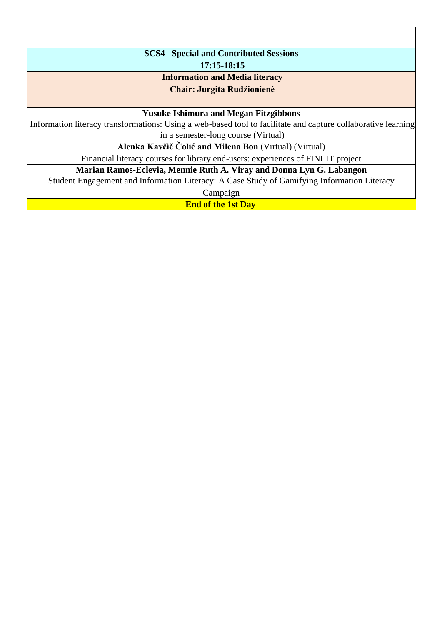| <b>SCS4</b> Special and Contributed Sessions                                                                  |  |
|---------------------------------------------------------------------------------------------------------------|--|
| 17:15-18:15                                                                                                   |  |
| <b>Information and Media literacy</b>                                                                         |  |
| <b>Chair: Jurgita Rudžionienė</b>                                                                             |  |
|                                                                                                               |  |
| <b>Yusuke Ishimura and Megan Fitzgibbons</b>                                                                  |  |
| Information literacy transformations: Using a web-based tool to facilitate and capture collaborative learning |  |
| in a semester-long course (Virtual)                                                                           |  |
| Alenka Kavčič Čolić and Milena Bon (Virtual) (Virtual)                                                        |  |
| Financial literacy courses for library end-users: experiences of FINLIT project                               |  |
| Marian Ramos-Eclevia, Mennie Ruth A. Viray and Donna Lyn G. Labangon                                          |  |
| Student Engagement and Information Literacy: A Case Study of Gamifying Information Literacy                   |  |
| Campaign                                                                                                      |  |

**End of the 1st Day**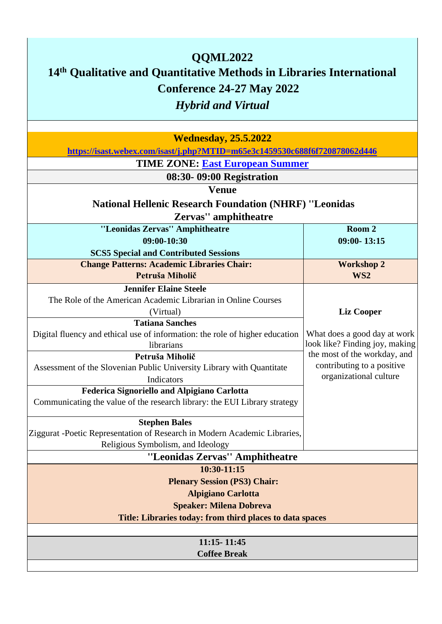| QQML2022<br>14th Qualitative and Quantitative Methods in Libraries International<br>Conference 24-27 May 2022<br><b>Hybrid and Virtual</b> |                                |  |
|--------------------------------------------------------------------------------------------------------------------------------------------|--------------------------------|--|
| <b>Wednesday, 25.5.2022</b>                                                                                                                |                                |  |
| https://isast.webex.com/isast/j.php?MTID=m65e3c1459530c688f6f720878062d446                                                                 |                                |  |
| <b>TIME ZONE: East European Summer</b>                                                                                                     |                                |  |
| 08:30-09:00 Registration                                                                                                                   |                                |  |
| <b>Venue</b>                                                                                                                               |                                |  |
| <b>National Hellenic Research Foundation (NHRF) "Leonidas</b><br>Zervas" amphitheatre                                                      |                                |  |
| "Leonidas Zervas" Amphitheatre                                                                                                             | Room 2                         |  |
| 09:00-10:30                                                                                                                                | $09:00 - 13:15$                |  |
| <b>SCS5 Special and Contributed Sessions</b>                                                                                               |                                |  |
| <b>Change Patterns: Academic Libraries Chair:</b>                                                                                          | <b>Workshop 2</b>              |  |
| Petruša Miholič                                                                                                                            | WS <sub>2</sub>                |  |
| <b>Jennifer Elaine Steele</b>                                                                                                              |                                |  |
| The Role of the American Academic Librarian in Online Courses                                                                              |                                |  |
| (Virtual)                                                                                                                                  | <b>Liz Cooper</b>              |  |
| <b>Tatiana Sanches</b><br>Digital fluency and ethical use of information: the role of higher education                                     | What does a good day at work   |  |
| librarians                                                                                                                                 | look like? Finding joy, making |  |
| Petruša Miholič                                                                                                                            | the most of the workday, and   |  |
| Assessment of the Slovenian Public University Library with Quantitate                                                                      | contributing to a positive     |  |
| Indicators                                                                                                                                 | organizational culture         |  |
| <b>Federica Signoriello and Alpigiano Carlotta</b>                                                                                         |                                |  |
| Communicating the value of the research library: the EUI Library strategy                                                                  |                                |  |
|                                                                                                                                            |                                |  |
| <b>Stephen Bales</b>                                                                                                                       |                                |  |
| Ziggurat -Poetic Representation of Research in Modern Academic Libraries,<br>Religious Symbolism, and Ideology                             |                                |  |
| "Leonidas Zervas" Amphitheatre                                                                                                             |                                |  |
| 10:30-11:15                                                                                                                                |                                |  |
| <b>Plenary Session (PS3) Chair:</b>                                                                                                        |                                |  |
| <b>Alpigiano Carlotta</b>                                                                                                                  |                                |  |
| <b>Speaker: Milena Dobreva</b>                                                                                                             |                                |  |
| Title: Libraries today: from third places to data spaces                                                                                   |                                |  |
|                                                                                                                                            |                                |  |
| 11:15 - 11:45                                                                                                                              |                                |  |
| <b>Coffee Break</b>                                                                                                                        |                                |  |
|                                                                                                                                            |                                |  |

٦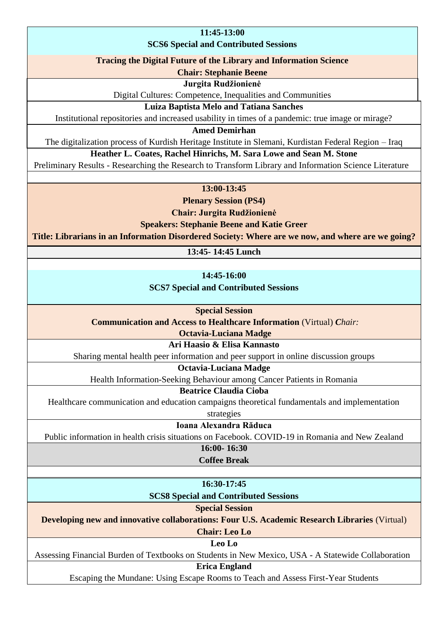#### **11:45-13:00**

#### **SCS6 Special and Contributed Sessions**

#### **Tracing the Digital Future of the Library and Information Science**

**Chair: Stephanie Beene** 

#### **Jurgita Rudžionienė**

Digital Cultures: Competence, Inequalities and Communities

#### **Luiza Baptista Melo and Tatiana Sanches**

Institutional repositories and increased usability in times of a pandemic: true image or mirage?

**Amed Demirhan** 

The digitalization process of Kurdish Heritage Institute in Slemani, Kurdistan Federal Region – Iraq

**Heather L. Coates, Rachel Hinrichs, M. Sara Lowe and Sean M. Stone** 

Preliminary Results - Researching the Research to Transform Library and Information Science Literature

#### **13:00-13:45**

**Plenary Session (PS4)** 

**Chair: Jurgita Rudžionienė** 

**Speakers: Stephanie Beene and Katie Greer** 

**Title: Librarians in an Information Disordered Society: Where are we now, and where are we going?**

**13:45- 14:45 Lunch** 

**14:45-16:00** 

**SCS7 Special and Contributed Sessions** 

**Special Session** 

**Communication and Access to Healthcare Information** (Virtual) *Chair:* 

**Octavia-Luciana Madge** 

**Ari Haasio & Elisa Kannasto**

Sharing mental health peer information and peer support in online discussion groups

**Octavia-Luciana Madge** 

Health Information-Seeking Behaviour among Cancer Patients in Romania

**Beatrice Claudia Cioba** 

Healthcare communication and education campaigns theoretical fundamentals and implementation

strategies

**Ioana Alexandra Răduca** 

Public information in health crisis situations on Facebook. COVID-19 in Romania and New Zealand

**16:00- 16:30** 

**Coffee Break** 

**16:30-17:45** 

**SCS8 Special and Contributed Sessions** 

**Special Session** 

**Developing new and innovative collaborations: Four U.S. Academic Research Libraries** (Virtual)

**Chair: Leo Lo** 

**Leo Lo**

Assessing Financial Burden of Textbooks on Students in New Mexico, USA - A Statewide Collaboration

**Erica England**

Escaping the Mundane: Using Escape Rooms to Teach and Assess First-Year Students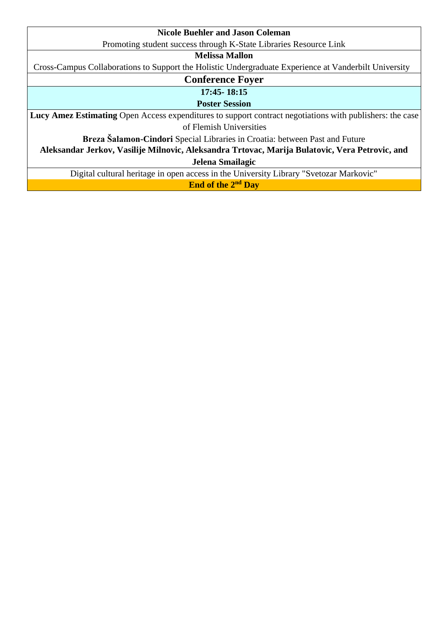| <b>Nicole Buehler and Jason Coleman</b>                                                                  |  |
|----------------------------------------------------------------------------------------------------------|--|
| Promoting student success through K-State Libraries Resource Link                                        |  |
| Melissa Mallon                                                                                           |  |
| Cross-Campus Collaborations to Support the Holistic Undergraduate Experience at Vanderbilt University    |  |
| <b>Conference Foyer</b>                                                                                  |  |
| 17:45-18:15                                                                                              |  |
| <b>Poster Session</b>                                                                                    |  |
| Lucy Amez Estimating Open Access expenditures to support contract negotiations with publishers: the case |  |
| of Flemish Universities                                                                                  |  |
| Breza Salamon-Cindori Special Libraries in Croatia: between Past and Future                              |  |
| Aleksandar Jerkov, Vasilije Milnovic, Aleksandra Trtovac, Marija Bulatovic, Vera Petrovic, and           |  |
| Jelena Smailagic                                                                                         |  |
| Digital cultural heritage in open access in the University Library "Svetozar Markovic"                   |  |
| End of the 2 <sup>nd</sup> Day                                                                           |  |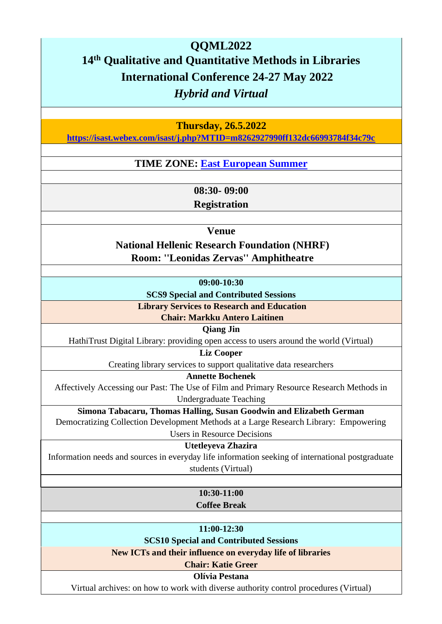# **QQML2022 14th Qualitative and Quantitative Methods in Libraries International Conference 24-27 May 2022**  *Hybrid and Virtual*

**Thursday, 26.5.2022** 

**<https://isast.webex.com/isast/j.php?MTID=m8262927990ff132dc66993784f34c79c>**

**TIME ZONE: [East European Summer](https://www.timeanddate.com/time/zones/cest)**

**08:30- 09:00** 

**Registration** 

**Venue** 

**National Hellenic Research Foundation (NHRF) Room: ''Leonidas Zervas'' Amphitheatre** 

**09:00-10:30** 

**SCS9 Special and Contributed Sessions**

**Library Services to Research and Education** 

**Chair: Markku Antero Laitinen** 

#### **Qiang Jin**

HathiTrust Digital Library: providing open access to users around the world (Virtual)

**Liz Cooper**

Creating library services to support qualitative data researchers

**Annette Bochenek** 

Affectively Accessing our Past: The Use of Film and Primary Resource Research Methods in

Undergraduate Teaching

**Simona Tabacaru, Thomas Halling, Susan Goodwin and Elizabeth German**  Democratizing Collection Development Methods at a Large Research Library: Empowering

Users in Resource Decisions

**Utetleyeva Zhazira** 

Information needs and sources in everyday life information seeking of international postgraduate students (Virtual)

> **10:30-11:00 Coffee Break**

**11:00-12:30**

**SCS10 Special and Contributed Sessions**

**New ICTs and their influence on everyday life of libraries** 

**Chair: Katie Greer** 

**Olívia Pestana** 

Virtual archives: on how to work with diverse authority control procedures (Virtual)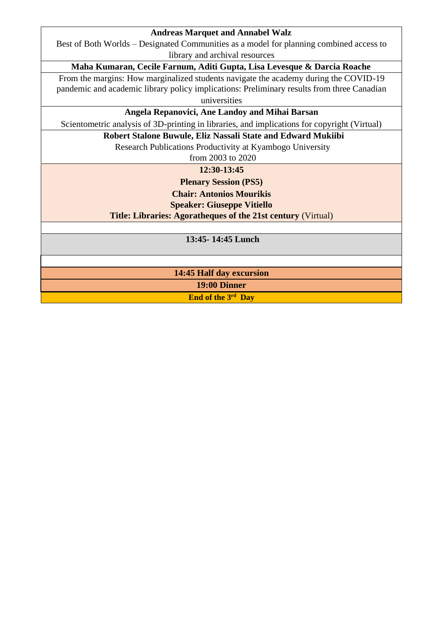#### **Andreas Marquet and Annabel Walz**

Best of Both Worlds – Designated Communities as a model for planning combined access to library and archival resources

#### **Maha Kumaran, Cecile Farnum, Aditi Gupta, Lisa Levesque & Darcia Roache**

From the margins: How marginalized students navigate the academy during the COVID-19 pandemic and academic library policy implications: Preliminary results from three Canadian universities

**Angela Repanovici, Ane Landoy and Mihai Barsan** 

Scientometric analysis of 3D-printing in libraries, and implications for copyright (Virtual)

#### **Robert Stalone Buwule, Eliz Nassali State and Edward Mukiibi**

Research Publications Productivity at Kyambogo University

from 2003 to 2020

**12:30-13:45**

**Plenary Session (PS5) Chair: Antonios Mourikis** 

**Speaker: Giuseppe Vitiello** 

**Title: Libraries: Agoratheques of the 21st century** (Virtual)

**13:45- 14:45 Lunch** 

**14:45 Half day excursion** 

**19:00 Dinner** 

**End of the 3rd Day**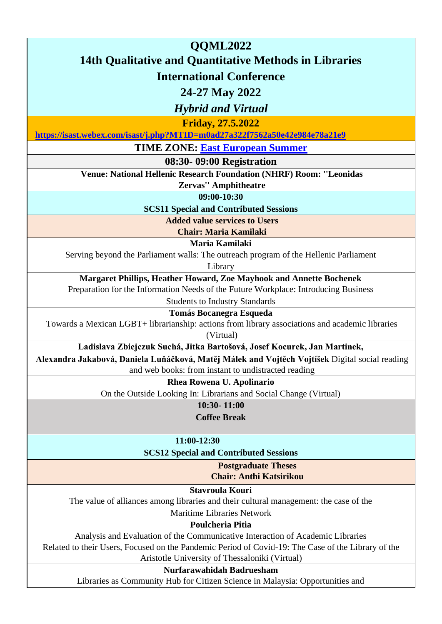| QQML2022                                                                                                                                                   |  |  |
|------------------------------------------------------------------------------------------------------------------------------------------------------------|--|--|
| <b>14th Qualitative and Quantitative Methods in Libraries</b>                                                                                              |  |  |
| <b>International Conference</b>                                                                                                                            |  |  |
| 24-27 May 2022                                                                                                                                             |  |  |
| <b>Hybrid and Virtual</b>                                                                                                                                  |  |  |
| <b>Friday, 27.5.2022</b>                                                                                                                                   |  |  |
| https://isast.webex.com/isast/j.php?MTID=m0ad27a322f7562a50e42e984e78a21e9                                                                                 |  |  |
| <b>TIME ZONE: East European Summer</b>                                                                                                                     |  |  |
| 08:30-09:00 Registration                                                                                                                                   |  |  |
| Venue: National Hellenic Research Foundation (NHRF) Room: "Leonidas                                                                                        |  |  |
| <b>Zervas" Amphitheatre</b>                                                                                                                                |  |  |
| 09:00-10:30                                                                                                                                                |  |  |
| <b>SCS11 Special and Contributed Sessions</b>                                                                                                              |  |  |
| <b>Added value services to Users</b>                                                                                                                       |  |  |
| <b>Chair: Maria Kamilaki</b>                                                                                                                               |  |  |
| Maria Kamilaki                                                                                                                                             |  |  |
| Serving beyond the Parliament walls: The outreach program of the Hellenic Parliament                                                                       |  |  |
| Library                                                                                                                                                    |  |  |
| Margaret Phillips, Heather Howard, Zoe Mayhook and Annette Bochenek<br>Preparation for the Information Needs of the Future Workplace: Introducing Business |  |  |
| <b>Students to Industry Standards</b>                                                                                                                      |  |  |
| <b>Tomás Bocanegra Esqueda</b>                                                                                                                             |  |  |
| Towards a Mexican LGBT+ librarianship: actions from library associations and academic libraries                                                            |  |  |
| (Virtual)                                                                                                                                                  |  |  |
| Ladislava Zbiejczuk Suchá, Jitka Bartošová, Josef Kocurek, Jan Martinek,                                                                                   |  |  |
| Alexandra Jakabová, Daniela Luňáčková, Matěj Málek and Vojtěch Vojtíšek Digital social reading                                                             |  |  |
| and web books: from instant to undistracted reading                                                                                                        |  |  |
| Rhea Rowena U. Apolinario                                                                                                                                  |  |  |
| On the Outside Looking In: Librarians and Social Change (Virtual)                                                                                          |  |  |
| $10:30 - 11:00$                                                                                                                                            |  |  |
| <b>Coffee Break</b>                                                                                                                                        |  |  |
| 11:00-12:30                                                                                                                                                |  |  |
| <b>SCS12 Special and Contributed Sessions</b>                                                                                                              |  |  |
| <b>Postgraduate Theses</b>                                                                                                                                 |  |  |
| <b>Chair: Anthi Katsirikou</b>                                                                                                                             |  |  |
| <b>Stavroula Kouri</b>                                                                                                                                     |  |  |
| The value of alliances among libraries and their cultural management: the case of the                                                                      |  |  |
| <b>Maritime Libraries Network</b>                                                                                                                          |  |  |
| Poulcheria Pitia                                                                                                                                           |  |  |
| Analysis and Evaluation of the Communicative Interaction of Academic Libraries                                                                             |  |  |
| Related to their Users, Focused on the Pandemic Period of Covid-19: The Case of the Library of the<br>Aristotle University of Thessaloniki (Virtual)       |  |  |
| Nurfarawahidah Badruesham                                                                                                                                  |  |  |
| Libraries as Community Hub for Citizen Science in Malaysia: Opportunities and                                                                              |  |  |
|                                                                                                                                                            |  |  |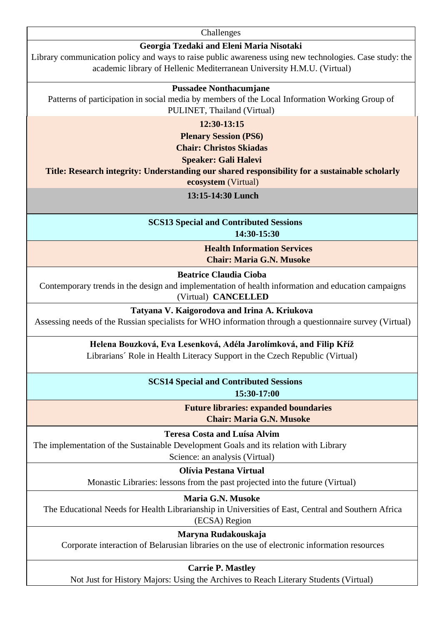**Challenges** 

#### **Georgia Tzedaki and Eleni Maria Nisotaki**

Library communication policy and ways to raise public awareness using new technologies. Case study: the academic library of Hellenic Mediterranean University H.M.U. (Virtual)

#### **Pussadee Nonthacumjane**

Patterns of participation in social media by members of the Local Information Working Group of PULINET, Thailand (Virtual)

**12:30-13:15** 

**Plenary Session (PS6)** 

**Chair: Christos Skiada[s](http://qqml.org/wp-content/uploads/2017/09/Veimann.pptx)**

**Speaker: Gali Halevi** 

**Title: Research integrity: Understanding our shared responsibility for a sustainable scholarly** 

**ecosystem** (Virtual)

#### **13:15-14:30 Lunch**

**SCS13 Special and Contributed Sessions** 

**14:30-15:30**

**Health Information Services Chair: Maria G.N. Musoke** 

**Beatrice Claudia Cioba**

Contemporary trends in the design and implementation of health information and education campaigns

(Virtual) **CANCELLED**

**Tatyana V. Kaigorodova and Irina A. Kriukova** 

Assessing needs of the Russian specialists for WHO information through a questionnaire survey (Virtual)

#### **Helena Bouzková, Eva Lesenková, Adéla Jarolímková, and Filip Kříž**

Librarians´ Role in Health Literacy Support in the Czech Republic (Virtual)

**SCS14 Special and Contributed Sessions** 

**15:30-17:00**

**Future libraries: expanded boundaries Chair: Maria G.N. Musoke**

**Teresa Costa and Luísa Alvim** 

The implementation of the Sustainable Development Goals and its relation with Library

Science: an analysis (Virtual)

**Olívia Pestana Virtual**

Monastic Libraries: lessons from the past projected into the future (Virtual)

**Maria G.N. Musoke**

The Educational Needs for Health Librarianship in Universities of East, Central and Southern Africa (ECSA) Region

**Maryna Rudakouskaja** 

Corporate interaction of Belarusian libraries on the use of electronic information resources

**Carrie P. Mastley**

Not Just for History Majors: Using the Archives to Reach Literary Students (Virtual)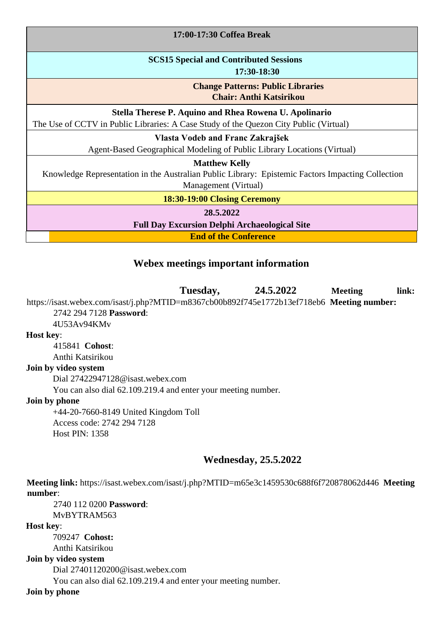| 17:00-17:30 Coffea Break                                                                                                                          |  |
|---------------------------------------------------------------------------------------------------------------------------------------------------|--|
| <b>SCS15 Special and Contributed Sessions</b><br>17:30-18:30                                                                                      |  |
| <b>Change Patterns: Public Libraries</b><br><b>Chair: Anthi Katsirikou</b>                                                                        |  |
| Stella Therese P. Aquino and Rhea Rowena U. Apolinario<br>The Use of CCTV in Public Libraries: A Case Study of the Quezon City Public (Virtual)   |  |
| Vlasta Vodeb and Franc Zakrajšek<br>Agent-Based Geographical Modeling of Public Library Locations (Virtual)                                       |  |
| <b>Matthew Kelly</b><br>Knowledge Representation in the Australian Public Library: Epistemic Factors Impacting Collection<br>Management (Virtual) |  |
| 18:30-19:00 Closing Ceremony                                                                                                                      |  |
| 28.5.2022<br><b>Full Day Excursion Delphi Archaeological Site</b>                                                                                 |  |
| <b>End of the Conference</b>                                                                                                                      |  |

# **Webex meetings important information**

**Tuesday, 24.5.2022 Meeting link:**  https://isast.webex.com/isast/j.php?MTID=m8367cb00b892f745e1772b13ef718eb6 **Meeting number:**  2742 294 7128 **Password**:

# 4U53Av94KMv

# **Host key**:

415841 **Cohost**: Anthi Katsirikou

## **Join by video system**

Dial 27422947128@isast.webex.com

You can also dial 62.109.219.4 and enter your meeting number.

#### **Join by phone**

+44-20-7660-8149 United Kingdom Toll Access code: 2742 294 7128 Host PIN: 1358

## **Wednesday, 25.5.2022**

**Meeting link:** https://isast.webex.com/isast/j.php?MTID=m65e3c1459530c688f6f720878062d446 **Meeting number**:

2740 112 0200 **Password**: MvBYTRAM563

**Host key**:

709247 **Cohost:**  Anthi Katsirikou **Join by video system**  Dial 27401120200@isast.webex.com You can also dial 62.109.219.4 and enter your meeting number.

**Join by phone**